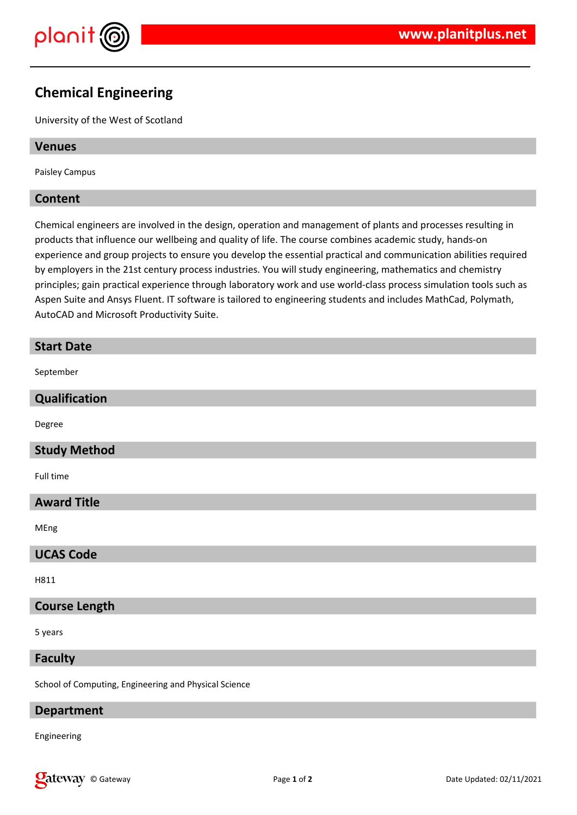

## **Chemical Engineering**

University of the West of Scotland

## **Venues**

Paisley Campus

## **Content**

Chemical engineers are involved in the design, operation and management of plants and processes resulting in products that influence our wellbeing and quality of life. The course combines academic study, hands-on experience and group projects to ensure you develop the essential practical and communication abilities required by employers in the 21st century process industries. You will study engineering, mathematics and chemistry principles; gain practical experience through laboratory work and use world-class process simulation tools such as Aspen Suite and Ansys Fluent. IT software is tailored to engineering students and includes MathCad, Polymath, AutoCAD and Microsoft Productivity Suite.

# **Start Date** September **Qualification** Degree **Study Method** Full time **Award Title** MEng **UCAS Code** H811

## **Course Length**

5 years

## **Faculty**

School of Computing, Engineering and Physical Science

## **Department**

Engineering